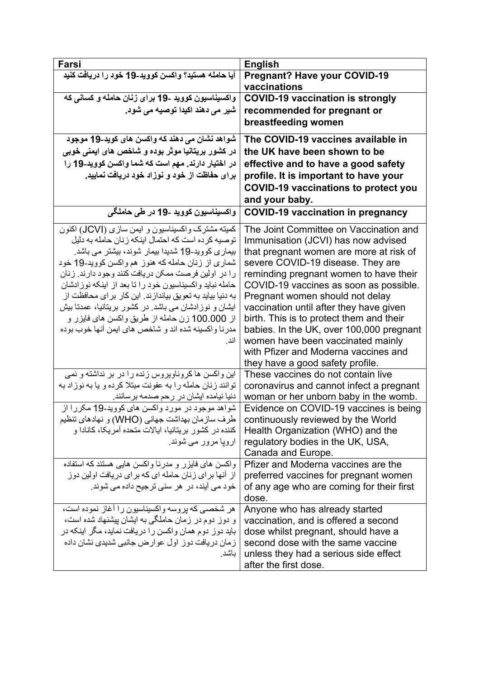| Farsi                                                                                                  | <b>English</b>                                                          |
|--------------------------------------------------------------------------------------------------------|-------------------------------------------------------------------------|
| آيا حامله هستيد؟ واكسن كوويد-19 خود را دريافت كنيد                                                     | <b>Pregnant? Have your COVID-19</b>                                     |
|                                                                                                        | vaccinations                                                            |
| واکسیناسیون کووید ۔19 برا <i>ی</i> زنان حامله و کسان <i>ی</i> که                                       | <b>COVID-19 vaccination is strongly</b>                                 |
| شیر می دهند اکیدا توصیه می شود.                                                                        | recommended for pregnant or                                             |
|                                                                                                        | breastfeeding women                                                     |
| شواهد نشان می دهند که واکسن های کوید-19 موجود                                                          | The COVID-19 vaccines available in                                      |
| در کشور بریتانیا موثر بوده و شاخص های ایمن <i>ی</i> خوب <i>ی</i>                                       | the UK have been shown to be                                            |
|                                                                                                        |                                                                         |
| در اختیار دارند. مهم است که شما واکسن کووید-19 را                                                      | effective and to have a good safety                                     |
| برای حفاظت از خود و نوزاد خود دریافت نمایید.                                                           | profile. It is important to have your                                   |
|                                                                                                        | <b>COVID-19 vaccinations to protect you</b>                             |
|                                                                                                        | and your baby.                                                          |
| واکسیناسیون کووید ۔19 در طی حاملگی                                                                     | <b>COVID-19 vaccination in pregnancy</b>                                |
| کمیته مشترک واکسیناسیون و ایمن سازی (JCVI) اکنون                                                       | The Joint Committee on Vaccination and                                  |
| توصیه کر ده است که احتمال اینکه ز نان حامله به دلیل                                                    | Immunisation (JCVI) has now advised                                     |
| بیماری کووید-19 شدیدا بیمار شوند، بیشتر می باشد.                                                       | that pregnant women are more at risk of                                 |
| شماری از زنان حامله که هنوز هم واکسن کووید-19 خود                                                      | severe COVID-19 disease. They are                                       |
| را در اولین فرصت ممکن دریافت کنند وجود دارند. زنان                                                     | reminding pregnant women to have their                                  |
| حامله نباید واکسیناسیون خود را تا بعد از اینکه نوزادشان                                                | COVID-19 vaccines as soon as possible.                                  |
| به دنیا بیاید به تعویق بیانداز ند. این کار بر ای محافظت از                                             | Pregnant women should not delay                                         |
| ایشان و نوزادشان می باشد. در کشور بریتانیا، عمدتا بیش                                                  | vaccination until after they have given                                 |
| از 100.000 زن حامله از طریق واکسن های فایزر و                                                          | birth. This is to protect them and their                                |
| مدرنا واكسينه شده اند و شاخص هاي ايمن أنها خوب بوده                                                    | babies. In the UK, over 100,000 pregnant                                |
| اند.                                                                                                   | women have been vaccinated mainly                                       |
|                                                                                                        | with Pfizer and Moderna vaccines and                                    |
|                                                                                                        | they have a good safety profile.                                        |
| این واکسن ها کروناویروس زنده را در بر نداشته و نمی                                                     | These vaccines do not contain live                                      |
| توانند زنان حامله را به عفونت مبتلا کرده و یا به نوزاد به                                              | coronavirus and cannot infect a pregnant                                |
| دنیا نیامده ایشان در رحم صدمه برسانند.                                                                 | woman or her unborn baby in the womb.                                   |
| شواهد موجود در مورد واکسن های کووید-19 مکررا از                                                        | Evidence on COVID-19 vaccines is being                                  |
| طرف سازمان بهداشت جهاني (WHO) و نهادهاي تنظيم<br>کننده در کشور بریتانیا، ایالات متحده آمریکا، کانادا و | continuously reviewed by the World<br>Health Organization (WHO) and the |
| اروپا مرور می شوند.                                                                                    | regulatory bodies in the UK, USA,                                       |
|                                                                                                        | Canada and Europe.                                                      |
| واکسن های فایزر و مدرنا واکسن هایی هستند که استفاده                                                    | Pfizer and Moderna vaccines are the                                     |
| از ِ آنها بر ای زِ نان حامله ای که بر ای در یافت اولین دوز                                             | preferred vaccines for pregnant women                                   |
| خود می آیند، در هر سنی ترجیح داده می شوند.                                                             | of any age who are coming for their first                               |
|                                                                                                        | dose.                                                                   |
| هر شخصبی که بر وسه و اکسیناسیون را آغاز نموده است،                                                     | Anyone who has already started                                          |
| و دوز دوم در زمان حاملگی به ایشان بیشنهاد شده است،                                                     | vaccination, and is offered a second                                    |
| باید دوز دوم همان واکسن را دریافت نماید، مگر اینکه در                                                  | dose whilst pregnant, should have a                                     |
| زمان دریافت دوز اول عوارض جانبی شدیدی نشان داده                                                        | second dose with the same vaccine                                       |
| باشد.                                                                                                  | unless they had a serious side effect                                   |
|                                                                                                        | after the first dose.                                                   |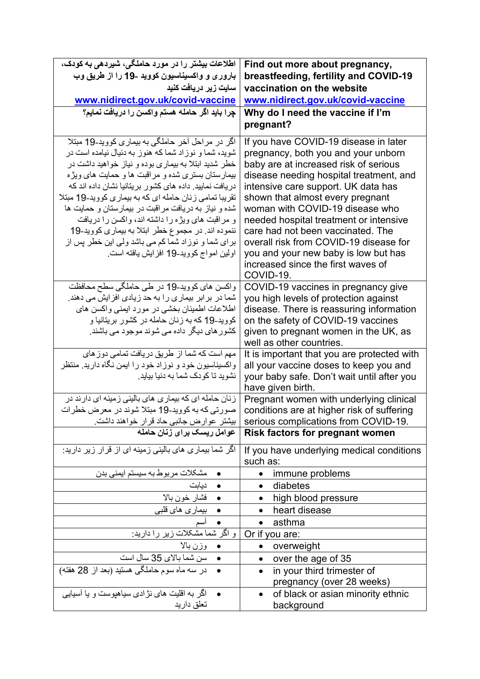| اطلاعات بیشتر را در مورد حاملگی، شیردهی به کودک،                                                                                                                                                                                                                                                                                                                                                                                                                                                                                                                                                        | Find out more about pregnancy,                                                                                                                                                                                                                                                                                                                                                                                                                                                                     |
|---------------------------------------------------------------------------------------------------------------------------------------------------------------------------------------------------------------------------------------------------------------------------------------------------------------------------------------------------------------------------------------------------------------------------------------------------------------------------------------------------------------------------------------------------------------------------------------------------------|----------------------------------------------------------------------------------------------------------------------------------------------------------------------------------------------------------------------------------------------------------------------------------------------------------------------------------------------------------------------------------------------------------------------------------------------------------------------------------------------------|
| بارور ی و واکسیناسیون کووید ـ19 را از طریق وب                                                                                                                                                                                                                                                                                                                                                                                                                                                                                                                                                           | breastfeeding, fertility and COVID-19                                                                                                                                                                                                                                                                                                                                                                                                                                                              |
| سایت زیر دریافت کنید                                                                                                                                                                                                                                                                                                                                                                                                                                                                                                                                                                                    | vaccination on the website                                                                                                                                                                                                                                                                                                                                                                                                                                                                         |
| www.nidirect.gov.uk/covid-vaccine                                                                                                                                                                                                                                                                                                                                                                                                                                                                                                                                                                       | www.nidirect.gov.uk/covid-vaccine                                                                                                                                                                                                                                                                                                                                                                                                                                                                  |
| چِرا بايد اگر حامله هستم واكسن را دريافت نمايم؟                                                                                                                                                                                                                                                                                                                                                                                                                                                                                                                                                         | Why do I need the vaccine if I'm                                                                                                                                                                                                                                                                                                                                                                                                                                                                   |
|                                                                                                                                                                                                                                                                                                                                                                                                                                                                                                                                                                                                         | pregnant?                                                                                                                                                                                                                                                                                                                                                                                                                                                                                          |
| اگر در مراحل آخر حاملگی به بیماری کووید-19 مبتلا<br>شوید، شما و نوزاد شما که هنوز به دنیال نیامده است در<br>خطر شدید ابتلا به بیماری بوده و نیاز خواهید داشت در<br>بیمارستان بستری شده و مراقبت ها و حمایت های ویژه<br>دریافت نمایید. داده های کشور بریتانیا نشان داده اند که<br>تقریبا تمامی زنان حامله ای که به بیماری کووید-19 مبتلا<br>شده و نیاز به دریافت مراقبت در بیمارستان و حمایت ها<br>و مراقبت های ویژه را داشته اند، واکسن را دریافت<br>ننموده اند. در مجموع خطر ابتلا به بیماری کووید-19<br>بر ای شما و نوز اد شما کم می باشد ولی این خطر پس از<br>اولين امواج كوويد-19 افزايش يافته است. | If you have COVID-19 disease in later<br>pregnancy, both you and your unborn<br>baby are at increased risk of serious<br>disease needing hospital treatment, and<br>intensive care support. UK data has<br>shown that almost every pregnant<br>woman with COVID-19 disease who<br>needed hospital treatment or intensive<br>care had not been vaccinated. The<br>overall risk from COVID-19 disease for<br>you and your new baby is low but has<br>increased since the first waves of<br>COVID-19. |
| واکسن های کووید-19 در طی حاملگی سطح محافظت<br>شما در بر ابر بیماری را به حد زیادی افزایش می دهند.<br>اطلاعات اطمینان بخشی در مورد ایمنی واکسن های<br>کووید-19 که به زنان حامله در کشور بریتانیا و<br>کشور های دیگر داده می شوند موجود می باشند.                                                                                                                                                                                                                                                                                                                                                         | COVID-19 vaccines in pregnancy give<br>you high levels of protection against<br>disease. There is reassuring information<br>on the safety of COVID-19 vaccines<br>given to pregnant women in the UK, as<br>well as other countries.                                                                                                                                                                                                                                                                |
| مهم است که شما از طریق دریافت تمامی دوز های<br>واکسیناسیون خود و نوزاد خود را ایمن نگاه دارید. منتظر<br>نشوید تا کودک شما به دنیا بیاید.                                                                                                                                                                                                                                                                                                                                                                                                                                                                | It is important that you are protected with<br>all your vaccine doses to keep you and<br>your baby safe. Don't wait until after you<br>have given birth.                                                                                                                                                                                                                                                                                                                                           |
| زنان حامله ای که بیماری های بالینی زمینه ای دارند در<br>صورتی که به کووید-19 مبتلا شوند در معرض خطرات<br>بیستر عوارض جانبی حاد قرار خواهند داشت.                                                                                                                                                                                                                                                                                                                                                                                                                                                        | Pregnant women with underlying clinical<br>conditions are at higher risk of suffering<br>serious complications from COVID-19.                                                                                                                                                                                                                                                                                                                                                                      |
| عوامل ریسک برای زنان حامله                                                                                                                                                                                                                                                                                                                                                                                                                                                                                                                                                                              | <b>Risk factors for pregnant women</b>                                                                                                                                                                                                                                                                                                                                                                                                                                                             |
| اگر شما بیماری های بالینی زمینه ای از قرار زیر دارید:                                                                                                                                                                                                                                                                                                                                                                                                                                                                                                                                                   | If you have underlying medical conditions<br>such as:                                                                                                                                                                                                                                                                                                                                                                                                                                              |
| مشکلات مربوط به سیستم ایمنی بدن                                                                                                                                                                                                                                                                                                                                                                                                                                                                                                                                                                         | immune problems                                                                                                                                                                                                                                                                                                                                                                                                                                                                                    |
| ديابت<br>فشار خون بالا                                                                                                                                                                                                                                                                                                                                                                                                                                                                                                                                                                                  | diabetes                                                                                                                                                                                                                                                                                                                                                                                                                                                                                           |
|                                                                                                                                                                                                                                                                                                                                                                                                                                                                                                                                                                                                         | high blood pressure                                                                                                                                                                                                                                                                                                                                                                                                                                                                                |
| بیماری های قلبی                                                                                                                                                                                                                                                                                                                                                                                                                                                                                                                                                                                         | heart disease                                                                                                                                                                                                                                                                                                                                                                                                                                                                                      |
| اسم                                                                                                                                                                                                                                                                                                                                                                                                                                                                                                                                                                                                     | asthma                                                                                                                                                                                                                                                                                                                                                                                                                                                                                             |
| <mark>ا و اگر شما مشکلات زیر را دارید:</mark>                                                                                                                                                                                                                                                                                                                                                                                                                                                                                                                                                           | Or if you are:                                                                                                                                                                                                                                                                                                                                                                                                                                                                                     |
| وزن بالا                                                                                                                                                                                                                                                                                                                                                                                                                                                                                                                                                                                                | overweight                                                                                                                                                                                                                                                                                                                                                                                                                                                                                         |
| سن شما بالاي 35 سال است                                                                                                                                                                                                                                                                                                                                                                                                                                                                                                                                                                                 | over the age of 35<br>$\bullet$                                                                                                                                                                                                                                                                                                                                                                                                                                                                    |
| در سه ماه سوم حاملگی هستید (بعد از 28 هفته)                                                                                                                                                                                                                                                                                                                                                                                                                                                                                                                                                             | in your third trimester of<br>$\bullet$<br>pregnancy (over 28 weeks)                                                                                                                                                                                                                                                                                                                                                                                                                               |
| اگر به اقلیت های نژادی سیاهپوست و یا آسیایی                                                                                                                                                                                                                                                                                                                                                                                                                                                                                                                                                             | of black or asian minority ethnic                                                                                                                                                                                                                                                                                                                                                                                                                                                                  |
| تعلق داريد                                                                                                                                                                                                                                                                                                                                                                                                                                                                                                                                                                                              | background                                                                                                                                                                                                                                                                                                                                                                                                                                                                                         |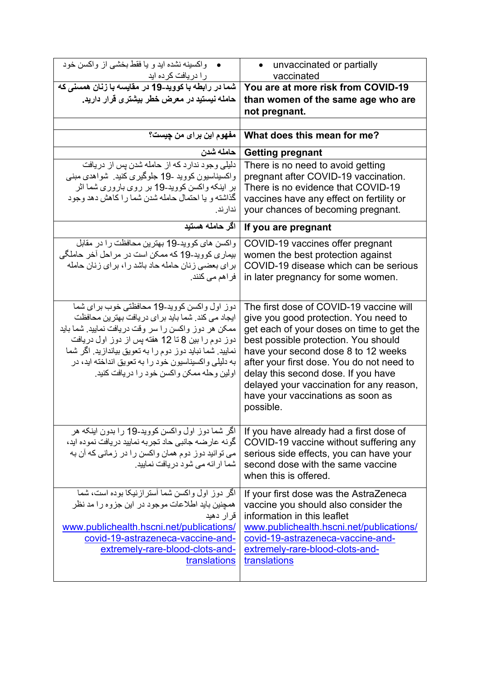| واکسینه نشده اید و یا فقط بخشی از واکسن خود<br>را دریافت کرده اید                                                                                                                                                                                                                                                                                                             | unvaccinated or partially<br>vaccinated                                                                                                                                                                                                                                                                                                                                                        |
|-------------------------------------------------------------------------------------------------------------------------------------------------------------------------------------------------------------------------------------------------------------------------------------------------------------------------------------------------------------------------------|------------------------------------------------------------------------------------------------------------------------------------------------------------------------------------------------------------------------------------------------------------------------------------------------------------------------------------------------------------------------------------------------|
| شما در رابطه با کووید-19 در مقایسه با زنان همسن <i>ی</i> که                                                                                                                                                                                                                                                                                                                   | You are at more risk from COVID-19                                                                                                                                                                                                                                                                                                                                                             |
| حامله نیستید در معرض خطر بیشتری قرار دارید.                                                                                                                                                                                                                                                                                                                                   | than women of the same age who are                                                                                                                                                                                                                                                                                                                                                             |
|                                                                                                                                                                                                                                                                                                                                                                               | not pregnant.                                                                                                                                                                                                                                                                                                                                                                                  |
|                                                                                                                                                                                                                                                                                                                                                                               |                                                                                                                                                                                                                                                                                                                                                                                                |
| مفهوم اين براي من چيست؟                                                                                                                                                                                                                                                                                                                                                       | What does this mean for me?                                                                                                                                                                                                                                                                                                                                                                    |
| حامله شدن                                                                                                                                                                                                                                                                                                                                                                     | <b>Getting pregnant</b>                                                                                                                                                                                                                                                                                                                                                                        |
| دلیلی وجود ندارد که از حامله شدن پس از دریافت<br>واکسیناسیون کووید -19 جلوگیری کنید. شواهدی مبنبی<br>بر اینکه واکسن کووید-19 بر روی باروری شما اثر<br>گذاشته و یا احتمال حامله شدن شما را کاهش دهد وجود<br>ندار ند.                                                                                                                                                           | There is no need to avoid getting<br>pregnant after COVID-19 vaccination.<br>There is no evidence that COVID-19<br>vaccines have any effect on fertility or<br>your chances of becoming pregnant.                                                                                                                                                                                              |
| اگر حامله هستید                                                                                                                                                                                                                                                                                                                                                               | If you are pregnant                                                                                                                                                                                                                                                                                                                                                                            |
| واكسن هاى كوويد-19 بهترين محافظت را در مقابل<br>بیماری کووید-19 که ممکن است در مراحل آخر حاملگی<br>برای بعضی زنان حامله حاد باشد را، برای زنان حامله<br>فراهم م <i>ی</i> کنند.                                                                                                                                                                                                | COVID-19 vaccines offer pregnant<br>women the best protection against<br>COVID-19 disease which can be serious<br>in later pregnancy for some women.                                                                                                                                                                                                                                           |
| دوز اول واکسن کووید-19 محافظتی خوب بر ای شما<br>ایجاد می کند. شما باید بر ای دریافت بهترین محافظت<br>ممکن هر دوز واکسن را سر وقت دریافت نمایید. شما باید<br>دوز دوم را بین 8 تا 12 هفته پس از دوز اول دریافت<br>نمایید. شما نباید دوز دوم را به تعویق بیاندازید. اگر شما<br>به دلیلی واکسیناسیون خود را به تعویق انداخته اید، در<br>اولین وحله ممکن واکسن خود را دریافت کنید. | The first dose of COVID-19 vaccine will<br>give you good protection. You need to<br>get each of your doses on time to get the<br>best possible protection. You should<br>have your second dose 8 to 12 weeks<br>after your first dose. You do not need to<br>delay this second dose. If you have<br>delayed your vaccination for any reason,<br>have your vaccinations as soon as<br>possible. |
| اگر شما دوز اول واکسن کووید-19 را بدون اینکه هر<br>گونه عارضه جانبي حاد تجربه نماييد دريافت نموده ايد،<br>می توانید دوز دوم همان واکسن را در زمانی که آن به<br>شما ار ائه می شود دریافت نمایید.                                                                                                                                                                               | If you have already had a first dose of<br>COVID-19 vaccine without suffering any<br>serious side effects, you can have your<br>second dose with the same vaccine<br>when this is offered.                                                                                                                                                                                                     |
| اگر دوز اول واکسن شما آستر از نیکا بوده است، شما<br>همچنین باید اطلاعات موجود در این جزوه را مد نظر<br>قرار دهيد<br>www.publichealth.hscni.net/publications/<br>covid-19-astrazeneca-vaccine-and-<br>extremely-rare-blood-clots-and-<br>translations                                                                                                                          | If your first dose was the AstraZeneca<br>vaccine you should also consider the<br>information in this leaflet<br>www.publichealth.hscni.net/publications/<br>covid-19-astrazeneca-vaccine-and-<br>extremely-rare-blood-clots-and-<br>translations                                                                                                                                              |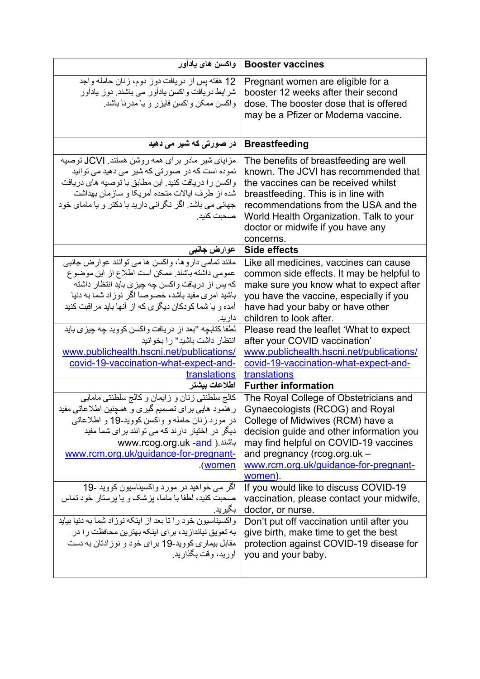| واكسن هاى يادأور                                                                                                                                                                                                                                                                                                                          | <b>Booster vaccines</b>                                                                                                                                                                                                                                                                           |
|-------------------------------------------------------------------------------------------------------------------------------------------------------------------------------------------------------------------------------------------------------------------------------------------------------------------------------------------|---------------------------------------------------------------------------------------------------------------------------------------------------------------------------------------------------------------------------------------------------------------------------------------------------|
| 12 هفته پس از دریافت دوز دوم، زنان حامله واجد<br>شر ایط دریافت واکسن یادآور می باشند. دوز یادآور<br>واکسن ممکن واکسن فایزر و یا مدرنا باشد.                                                                                                                                                                                               | Pregnant women are eligible for a<br>booster 12 weeks after their second<br>dose. The booster dose that is offered<br>may be a Pfizer or Moderna vaccine.                                                                                                                                         |
| در صورتی که شیر می دهید                                                                                                                                                                                                                                                                                                                   | <b>Breastfeeding</b>                                                                                                                                                                                                                                                                              |
| مزایای شیر مادر برای همه روشن هستند. <b>JCVI</b> توصیه<br>نمودہ است که در صورتی که شیر می دهید می توانید<br>واکسن را دریافت کنید. این مطابق با توصیه های دریافت<br>شده از طرف ایالات متحده آمریکا و سازمان بهداشت<br>جهانی می باشد. اگر نگرانی دارید با دکتر و یا مامای خود<br>صحبت كنيد.                                                 | The benefits of breastfeeding are well<br>known. The JCVI has recommended that<br>the vaccines can be received whilst<br>breastfeeding. This is in line with<br>recommendations from the USA and the<br>World Health Organization. Talk to your<br>doctor or midwife if you have any<br>concerns. |
| عوارض جانب <i>ی</i>                                                                                                                                                                                                                                                                                                                       | Side effects                                                                                                                                                                                                                                                                                      |
| مانند تمامی داروها، واکسن ها می توانند عوارض جانبی<br>عمومي داشته باشند. ممكن است اطلاع از اين موضوع<br>كه پس از دريافت واكسن چه چيزي بايد انتظار داشته<br>باشید امری مفید باشد، خصوصا اگر نوزاد شما به دنیا<br>آمده و یا شما کودکان دیگری که از  آنها باید مر اقبت کنید<br>دارید.<br>لطفا كتابچه "بعد از دريافت واكسن كوويد چه چيزي بايد | Like all medicines, vaccines can cause<br>common side effects. It may be helpful to<br>make sure you know what to expect after<br>you have the vaccine, especially if you<br>have had your baby or have other<br>children to look after.                                                          |
| انتظار داشت باشید" را بخوانید<br>www.publichealth.hscni.net/publications/<br>covid-19-vaccination-what-expect-and-                                                                                                                                                                                                                        | Please read the leaflet 'What to expect<br>after your COVID vaccination'<br>www.publichealth.hscni.net/publications/<br>covid-19-vaccination-what-expect-and-                                                                                                                                     |
| translations                                                                                                                                                                                                                                                                                                                              | translations                                                                                                                                                                                                                                                                                      |
| اطلاعات بيشتر                                                                                                                                                                                                                                                                                                                             | <b>Further information</b>                                                                                                                                                                                                                                                                        |
| كالج سلطنتي زنان و زايمان و كالج سلطنتي مامايي<br>ر هنمود هایی بر ای تصمیم گیری و همچنین اطلاعاتی مفید<br>در مورد زنان حامله و واکسن کووید-19 و اطلاعاتی<br>دیگر در اختیار دارند که می توانند برای شما مفید<br>www.rcog.org.uk -and ). باشند<br>www.rcm.org.uk/guidance-for-pregnant-<br>.(women                                          | The Royal College of Obstetricians and<br>Gynaecologists (RCOG) and Royal<br>College of Midwives (RCM) have a<br>decision guide and other information you<br>may find helpful on COVID-19 vaccines<br>and pregnancy (rcog.org.uk -<br>www.rcm.org.uk/guidance-for-pregnant-<br>women).            |
| اگر می خواهید در مورد واکسیناسیون کووید -19<br>صحبت کنید، لطفا با ماما، پزشک و یا پرستار خود تماس<br>بگيريد.                                                                                                                                                                                                                              | If you would like to discuss COVID-19<br>vaccination, please contact your midwife,<br>doctor, or nurse.                                                                                                                                                                                           |
| و اکسپناسیون خود را تا بعد از اینکه نوز اد شما به دنیا بیاید<br>به تعویق نیاندازید، بر ای اینکه بهترین محافظت ر ۱ در<br>مقابل بیماری کووید-19 بر ای خود و نوز ادتان به دست<br>أوريد، وقت بگذاريد.                                                                                                                                         | Don't put off vaccination until after you<br>give birth, make time to get the best<br>protection against COVID-19 disease for<br>you and your baby.                                                                                                                                               |